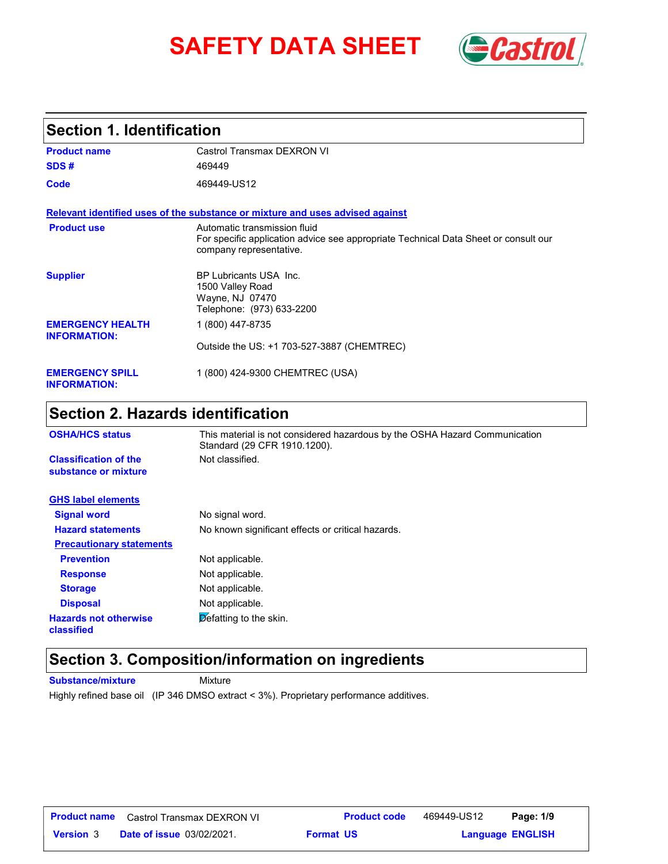# **SAFETY DATA SHEET** *Castrol*



### **Section 1. Identification**

| <b>Product name</b>                            | Castrol Transmax DEXRON VI                                                                                                                     |
|------------------------------------------------|------------------------------------------------------------------------------------------------------------------------------------------------|
| SDS#                                           | 469449                                                                                                                                         |
| Code                                           | 469449-US12                                                                                                                                    |
|                                                | Relevant identified uses of the substance or mixture and uses advised against                                                                  |
| <b>Product use</b>                             | Automatic transmission fluid<br>For specific application advice see appropriate Technical Data Sheet or consult our<br>company representative. |
| <b>Supplier</b>                                | BP Lubricants USA Inc.<br>1500 Valley Road<br>Wayne, NJ 07470<br>Telephone: (973) 633-2200                                                     |
| <b>EMERGENCY HEALTH</b><br><b>INFORMATION:</b> | 1 (800) 447-8735                                                                                                                               |
|                                                | Outside the US: +1 703-527-3887 (CHEMTREC)                                                                                                     |
| <b>EMERGENCY SPILL</b><br><b>INFORMATION:</b>  | 1 (800) 424-9300 CHEMTREC (USA)                                                                                                                |

## **Section 2. Hazards identification**

| <b>OSHA/HCS status</b>                               | This material is not considered hazardous by the OSHA Hazard Communication<br>Standard (29 CFR 1910.1200). |
|------------------------------------------------------|------------------------------------------------------------------------------------------------------------|
| <b>Classification of the</b><br>substance or mixture | Not classified.                                                                                            |
| <b>GHS label elements</b>                            |                                                                                                            |
| <b>Signal word</b>                                   | No signal word.                                                                                            |
| <b>Hazard statements</b>                             | No known significant effects or critical hazards.                                                          |
| <b>Precautionary statements</b>                      |                                                                                                            |
| <b>Prevention</b>                                    | Not applicable.                                                                                            |
| <b>Response</b>                                      | Not applicable.                                                                                            |
| <b>Storage</b>                                       | Not applicable.                                                                                            |
| <b>Disposal</b>                                      | Not applicable.                                                                                            |
| <b>Hazards not otherwise</b><br>classified           | $\triangleright$ efatting to the skin.                                                                     |

### **Section 3. Composition/information on ingredients**

**Substance/mixture Mixture** Highly refined base oil (IP 346 DMSO extract < 3%). Proprietary performance additives.

| <b>Product name</b> | Castrol Transmax DEXRON VI       | <b>Product code</b> | 469449-US12 | Page: 1/9               |  |
|---------------------|----------------------------------|---------------------|-------------|-------------------------|--|
| <b>Version 3</b>    | <b>Date of issue 03/02/2021.</b> | <b>Format US</b>    |             | <b>Language ENGLISH</b> |  |

**Format US**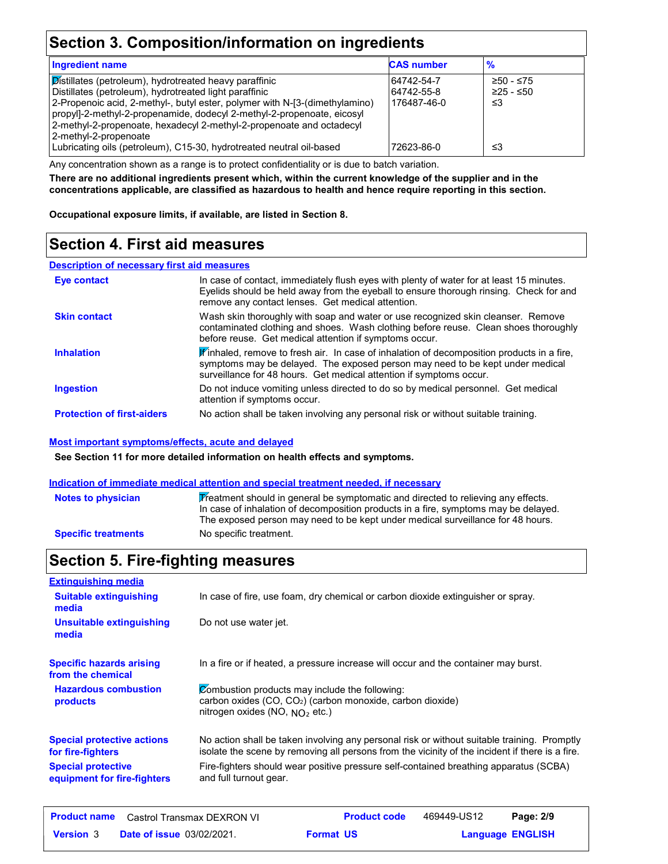### **Section 3. Composition/information on ingredients**

| <b>Ingredient name</b>                                                                                                                                                                                                                                                                                                                             | <b>CAS number</b>                       | $\frac{9}{6}$                    |
|----------------------------------------------------------------------------------------------------------------------------------------------------------------------------------------------------------------------------------------------------------------------------------------------------------------------------------------------------|-----------------------------------------|----------------------------------|
| Distillates (petroleum), hydrotreated heavy paraffinic<br>Distillates (petroleum), hydrotreated light paraffinic<br>[2-Propenoic acid, 2-methyl-, butyl ester, polymer with N-[3-(dimethylamino)<br>propyl]-2-methyl-2-propenamide, dodecyl 2-methyl-2-propenoate, eicosyl<br>2-methyl-2-propenoate, hexadecyl 2-methyl-2-propenoate and octadecyl | 64742-54-7<br>64742-55-8<br>176487-46-0 | $≥50 - ≤75$<br>$≥25 - ≤50$<br>≤3 |
| 2-methyl-2-propenoate<br>Lubricating oils (petroleum), C15-30, hydrotreated neutral oil-based                                                                                                                                                                                                                                                      | 72623-86-0                              | ≤3                               |

Any concentration shown as a range is to protect confidentiality or is due to batch variation.

**There are no additional ingredients present which, within the current knowledge of the supplier and in the concentrations applicable, are classified as hazardous to health and hence require reporting in this section.**

**Occupational exposure limits, if available, are listed in Section 8.**

### **Section 4. First aid measures**

#### **Description of necessary first aid measures**

| Eye contact                       | In case of contact, immediately flush eyes with plenty of water for at least 15 minutes.<br>Eyelids should be held away from the eyeball to ensure thorough rinsing. Check for and<br>remove any contact lenses. Get medical attention.           |
|-----------------------------------|---------------------------------------------------------------------------------------------------------------------------------------------------------------------------------------------------------------------------------------------------|
| <b>Skin contact</b>               | Wash skin thoroughly with soap and water or use recognized skin cleanser. Remove<br>contaminated clothing and shoes. Wash clothing before reuse. Clean shoes thoroughly<br>before reuse. Get medical attention if symptoms occur.                 |
| <b>Inhalation</b>                 | Finhaled, remove to fresh air. In case of inhalation of decomposition products in a fire,<br>symptoms may be delayed. The exposed person may need to be kept under medical<br>surveillance for 48 hours. Get medical attention if symptoms occur. |
| <b>Ingestion</b>                  | Do not induce vomiting unless directed to do so by medical personnel. Get medical<br>attention if symptoms occur.                                                                                                                                 |
| <b>Protection of first-aiders</b> | No action shall be taken involving any personal risk or without suitable training.                                                                                                                                                                |

#### **Most important symptoms/effects, acute and delayed**

**See Section 11 for more detailed information on health effects and symptoms.**

#### **Indication of immediate medical attention and special treatment needed, if necessary**

| <b>Notes to physician</b>  | Treatment should in general be symptomatic and directed to relieving any effects.<br>In case of inhalation of decomposition products in a fire, symptoms may be delayed.<br>The exposed person may need to be kept under medical surveillance for 48 hours. |
|----------------------------|-------------------------------------------------------------------------------------------------------------------------------------------------------------------------------------------------------------------------------------------------------------|
| <b>Specific treatments</b> | No specific treatment.                                                                                                                                                                                                                                      |

## **Section 5. Fire-fighting measures**

| <b>Extinguishing media</b>                                                                                                 |                                                                                                                                                                                                |
|----------------------------------------------------------------------------------------------------------------------------|------------------------------------------------------------------------------------------------------------------------------------------------------------------------------------------------|
| In case of fire, use foam, dry chemical or carbon dioxide extinguisher or spray.<br><b>Suitable extinguishing</b><br>media |                                                                                                                                                                                                |
| <b>Unsuitable extinguishing</b><br>media                                                                                   | Do not use water jet.                                                                                                                                                                          |
| <b>Specific hazards arising</b><br>from the chemical                                                                       | In a fire or if heated, a pressure increase will occur and the container may burst.                                                                                                            |
| <b>Hazardous combustion</b><br>products                                                                                    | Combustion products may include the following:<br>carbon oxides $(CO, CO2)$ (carbon monoxide, carbon dioxide)<br>nitrogen oxides (NO, $NQ_2$ etc.)                                             |
| <b>Special protective actions</b><br>for fire-fighters                                                                     | No action shall be taken involving any personal risk or without suitable training. Promptly<br>isolate the scene by removing all persons from the vicinity of the incident if there is a fire. |
| <b>Special protective</b><br>equipment for fire-fighters                                                                   | Fire-fighters should wear positive pressure self-contained breathing apparatus (SCBA)<br>and full turnout gear.                                                                                |
|                                                                                                                            |                                                                                                                                                                                                |

|                  | <b>Product name</b> Castrol Transmax DEXRON VI | <b>Product code</b> | 469449-US12 | Page: 2/9               |
|------------------|------------------------------------------------|---------------------|-------------|-------------------------|
| <b>Version 3</b> | <b>Date of issue 03/02/2021.</b>               | <b>Format US</b>    |             | <b>Language ENGLISH</b> |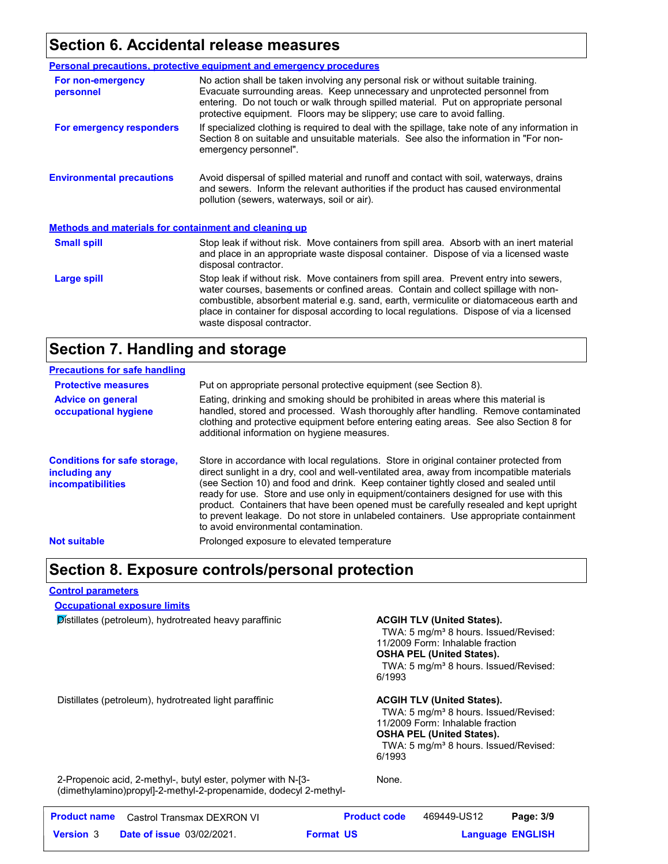### **Section 6. Accidental release measures**

|                                                              | Personal precautions, protective equipment and emergency procedures                                                                                                                                                                                                                                                                                                                                |  |
|--------------------------------------------------------------|----------------------------------------------------------------------------------------------------------------------------------------------------------------------------------------------------------------------------------------------------------------------------------------------------------------------------------------------------------------------------------------------------|--|
| For non-emergency<br>personnel                               | No action shall be taken involving any personal risk or without suitable training.<br>Evacuate surrounding areas. Keep unnecessary and unprotected personnel from<br>entering. Do not touch or walk through spilled material. Put on appropriate personal<br>protective equipment. Floors may be slippery; use care to avoid falling.                                                              |  |
| For emergency responders                                     | If specialized clothing is required to deal with the spillage, take note of any information in<br>Section 8 on suitable and unsuitable materials. See also the information in "For non-<br>emergency personnel".                                                                                                                                                                                   |  |
| <b>Environmental precautions</b>                             | Avoid dispersal of spilled material and runoff and contact with soil, waterways, drains<br>and sewers. Inform the relevant authorities if the product has caused environmental<br>pollution (sewers, waterways, soil or air).                                                                                                                                                                      |  |
| <b>Methods and materials for containment and cleaning up</b> |                                                                                                                                                                                                                                                                                                                                                                                                    |  |
| <b>Small spill</b>                                           | Stop leak if without risk. Move containers from spill area. Absorb with an inert material<br>and place in an appropriate waste disposal container. Dispose of via a licensed waste<br>disposal contractor.                                                                                                                                                                                         |  |
| Large spill                                                  | Stop leak if without risk. Move containers from spill area. Prevent entry into sewers,<br>water courses, basements or confined areas. Contain and collect spillage with non-<br>combustible, absorbent material e.g. sand, earth, vermiculite or diatomaceous earth and<br>place in container for disposal according to local regulations. Dispose of via a licensed<br>waste disposal contractor. |  |

### **Section 7. Handling and storage**

| <b>Precautions for safe handling</b>                                             |                                                                                                                                                                                                                                                                                                                                                                                                                                                                                                                                                                                               |
|----------------------------------------------------------------------------------|-----------------------------------------------------------------------------------------------------------------------------------------------------------------------------------------------------------------------------------------------------------------------------------------------------------------------------------------------------------------------------------------------------------------------------------------------------------------------------------------------------------------------------------------------------------------------------------------------|
| <b>Protective measures</b>                                                       | Put on appropriate personal protective equipment (see Section 8).                                                                                                                                                                                                                                                                                                                                                                                                                                                                                                                             |
| <b>Advice on general</b><br>occupational hygiene                                 | Eating, drinking and smoking should be prohibited in areas where this material is<br>handled, stored and processed. Wash thoroughly after handling. Remove contaminated<br>clothing and protective equipment before entering eating areas. See also Section 8 for<br>additional information on hygiene measures.                                                                                                                                                                                                                                                                              |
| <b>Conditions for safe storage,</b><br>including any<br><i>incompatibilities</i> | Store in accordance with local regulations. Store in original container protected from<br>direct sunlight in a dry, cool and well-ventilated area, away from incompatible materials<br>(see Section 10) and food and drink. Keep container tightly closed and sealed until<br>ready for use. Store and use only in equipment/containers designed for use with this<br>product. Containers that have been opened must be carefully resealed and kept upright<br>to prevent leakage. Do not store in unlabeled containers. Use appropriate containment<br>to avoid environmental contamination. |
| <b>Not suitable</b>                                                              | Prolonged exposure to elevated temperature                                                                                                                                                                                                                                                                                                                                                                                                                                                                                                                                                    |

### **Section 8. Exposure controls/personal protection**

#### **Control parameters**

**Occupational exposure limits**

**Distillates (petroleum), hydrotreated heavy paraffinic <b>ACGIH TLV (United States).** 

TWA: 5 mg/m<sup>3</sup> 8 hours. Issued/Revised: 11/2009 Form: Inhalable fraction **OSHA PEL (United States).** TWA: 5 mg/m<sup>3</sup> 8 hours. Issued/Revised: 6/1993

Distillates (petroleum), hydrotreated light paraffinic **ACGIH TLV (United States).**

TWA: 5 mg/m<sup>3</sup> 8 hours. Issued/Revised: 11/2009 Form: Inhalable fraction **OSHA PEL (United States).** TWA: 5 mg/m<sup>3</sup> 8 hours. Issued/Revised: 6/1993

2-Propenoic acid, 2-methyl-, butyl ester, polymer with N-[3- (dimethylamino)propyl]-2-methyl-2-propenamide, dodecyl 2-methylNone.

|                  | <b>Product name</b> Castrol Transmax DEXRON VI | <b>Product code</b> | 469449-US12 | Page: 3/9               |
|------------------|------------------------------------------------|---------------------|-------------|-------------------------|
| <b>Version 3</b> | <b>Date of issue 03/02/2021.</b>               | <b>Format US</b>    |             | <b>Language ENGLISH</b> |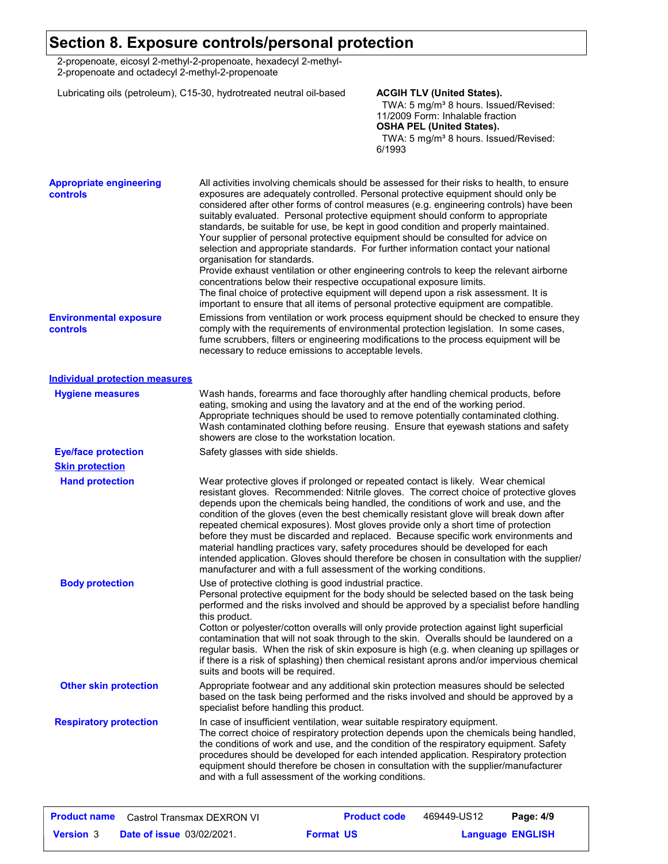### **Section 8. Exposure controls/personal protection**

2-propenoate, eicosyl 2-methyl-2-propenoate, hexadecyl 2-methyl-2-propenoate and octadecyl 2-methyl-2-propenoate

Lubricating oils (petroleum), C15-30, hydrotreated neutral oil-based **ACGIH TLV (United States).**

TWA: 5 mg/m<sup>3</sup> 8 hours. Issued/Revised: 11/2009 Form: Inhalable fraction **OSHA PEL (United States).**

TWA: 5 mg/m<sup>3</sup> 8 hours. Issued/Revised: 6/1993

| <b>Appropriate engineering</b><br>controls | All activities involving chemicals should be assessed for their risks to health, to ensure<br>exposures are adequately controlled. Personal protective equipment should only be<br>considered after other forms of control measures (e.g. engineering controls) have been<br>suitably evaluated. Personal protective equipment should conform to appropriate<br>standards, be suitable for use, be kept in good condition and properly maintained.<br>Your supplier of personal protective equipment should be consulted for advice on<br>selection and appropriate standards. For further information contact your national<br>organisation for standards.<br>Provide exhaust ventilation or other engineering controls to keep the relevant airborne<br>concentrations below their respective occupational exposure limits.<br>The final choice of protective equipment will depend upon a risk assessment. It is<br>important to ensure that all items of personal protective equipment are compatible. |
|--------------------------------------------|------------------------------------------------------------------------------------------------------------------------------------------------------------------------------------------------------------------------------------------------------------------------------------------------------------------------------------------------------------------------------------------------------------------------------------------------------------------------------------------------------------------------------------------------------------------------------------------------------------------------------------------------------------------------------------------------------------------------------------------------------------------------------------------------------------------------------------------------------------------------------------------------------------------------------------------------------------------------------------------------------------|
| <b>Environmental exposure</b><br>controls  | Emissions from ventilation or work process equipment should be checked to ensure they<br>comply with the requirements of environmental protection legislation. In some cases,<br>fume scrubbers, filters or engineering modifications to the process equipment will be<br>necessary to reduce emissions to acceptable levels.                                                                                                                                                                                                                                                                                                                                                                                                                                                                                                                                                                                                                                                                              |
| <b>Individual protection measures</b>      |                                                                                                                                                                                                                                                                                                                                                                                                                                                                                                                                                                                                                                                                                                                                                                                                                                                                                                                                                                                                            |
| <b>Hygiene measures</b>                    | Wash hands, forearms and face thoroughly after handling chemical products, before<br>eating, smoking and using the lavatory and at the end of the working period.<br>Appropriate techniques should be used to remove potentially contaminated clothing.<br>Wash contaminated clothing before reusing. Ensure that eyewash stations and safety<br>showers are close to the workstation location.                                                                                                                                                                                                                                                                                                                                                                                                                                                                                                                                                                                                            |
| <b>Eye/face protection</b>                 | Safety glasses with side shields.                                                                                                                                                                                                                                                                                                                                                                                                                                                                                                                                                                                                                                                                                                                                                                                                                                                                                                                                                                          |
| <b>Skin protection</b>                     |                                                                                                                                                                                                                                                                                                                                                                                                                                                                                                                                                                                                                                                                                                                                                                                                                                                                                                                                                                                                            |
| <b>Hand protection</b>                     | Wear protective gloves if prolonged or repeated contact is likely. Wear chemical<br>resistant gloves. Recommended: Nitrile gloves. The correct choice of protective gloves<br>depends upon the chemicals being handled, the conditions of work and use, and the<br>condition of the gloves (even the best chemically resistant glove will break down after<br>repeated chemical exposures). Most gloves provide only a short time of protection<br>before they must be discarded and replaced. Because specific work environments and<br>material handling practices vary, safety procedures should be developed for each<br>intended application. Gloves should therefore be chosen in consultation with the supplier/<br>manufacturer and with a full assessment of the working conditions.                                                                                                                                                                                                              |
| <b>Body protection</b>                     | Use of protective clothing is good industrial practice.<br>Personal protective equipment for the body should be selected based on the task being<br>performed and the risks involved and should be approved by a specialist before handling<br>this product.<br>Cotton or polyester/cotton overalls will only provide protection against light superficial<br>contamination that will not soak through to the skin. Overalls should be laundered on a<br>regular basis. When the risk of skin exposure is high (e.g. when cleaning up spillages or<br>if there is a risk of splashing) then chemical resistant aprons and/or impervious chemical<br>suits and boots will be required.                                                                                                                                                                                                                                                                                                                      |
| <b>Other skin protection</b>               | Appropriate footwear and any additional skin protection measures should be selected<br>based on the task being performed and the risks involved and should be approved by a<br>specialist before handling this product.                                                                                                                                                                                                                                                                                                                                                                                                                                                                                                                                                                                                                                                                                                                                                                                    |
| <b>Respiratory protection</b>              | In case of insufficient ventilation, wear suitable respiratory equipment.<br>The correct choice of respiratory protection depends upon the chemicals being handled,<br>the conditions of work and use, and the condition of the respiratory equipment. Safety<br>procedures should be developed for each intended application. Respiratory protection<br>equipment should therefore be chosen in consultation with the supplier/manufacturer<br>and with a full assessment of the working conditions.                                                                                                                                                                                                                                                                                                                                                                                                                                                                                                      |

| <b>Product name</b> | Castrol Transmax DEXRON VI       |                  | <b>Product code</b> | 469449-US12             | Page: 4/9 |  |
|---------------------|----------------------------------|------------------|---------------------|-------------------------|-----------|--|
| <b>Version</b> 3    | <b>Date of issue 03/02/2021.</b> | <b>Format US</b> |                     | <b>Language ENGLISH</b> |           |  |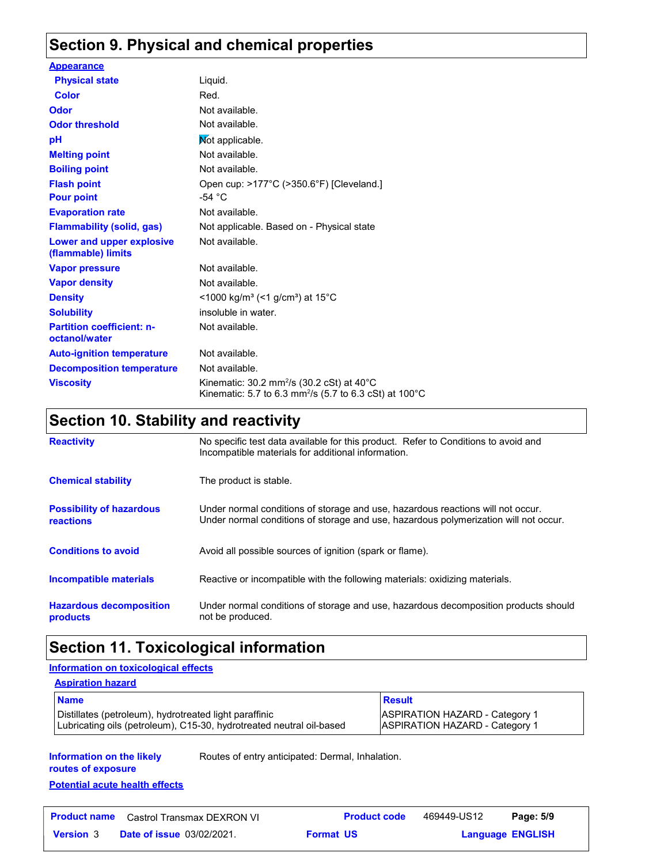## **Section 9. Physical and chemical properties**

| <b>Appearance</b>                                 |                                                                                                                                                   |
|---------------------------------------------------|---------------------------------------------------------------------------------------------------------------------------------------------------|
| <b>Physical state</b>                             | Liquid.                                                                                                                                           |
| Color                                             | Red.                                                                                                                                              |
| Odor                                              | Not available.                                                                                                                                    |
| <b>Odor threshold</b>                             | Not available.                                                                                                                                    |
| рH                                                | Not applicable.                                                                                                                                   |
| <b>Melting point</b>                              | Not available.                                                                                                                                    |
| <b>Boiling point</b>                              | Not available.                                                                                                                                    |
| <b>Flash point</b>                                | Open cup: >177°C (>350.6°F) [Cleveland.]                                                                                                          |
| <b>Pour point</b>                                 | -54 $^{\circ}$ C                                                                                                                                  |
| <b>Evaporation rate</b>                           | Not available.                                                                                                                                    |
| <b>Flammability (solid, gas)</b>                  | Not applicable. Based on - Physical state                                                                                                         |
| Lower and upper explosive<br>(flammable) limits   | Not available.                                                                                                                                    |
| <b>Vapor pressure</b>                             | Not available.                                                                                                                                    |
| <b>Vapor density</b>                              | Not available.                                                                                                                                    |
| <b>Density</b>                                    | <1000 kg/m <sup>3</sup> (<1 g/cm <sup>3</sup> ) at 15 <sup>°</sup> C                                                                              |
| <b>Solubility</b>                                 | insoluble in water.                                                                                                                               |
| <b>Partition coefficient: n-</b><br>octanol/water | Not available.                                                                                                                                    |
| <b>Auto-ignition temperature</b>                  | Not available.                                                                                                                                    |
| <b>Decomposition temperature</b>                  | Not available.                                                                                                                                    |
| <b>Viscosity</b>                                  | Kinematic: 30.2 mm <sup>2</sup> /s (30.2 cSt) at 40 $^{\circ}$ C<br>Kinematic: 5.7 to 6.3 mm <sup>2</sup> /s (5.7 to 6.3 cSt) at 100 $^{\circ}$ C |

## **Section 10. Stability and reactivity**

| <b>Reactivity</b>                            | No specific test data available for this product. Refer to Conditions to avoid and<br>Incompatible materials for additional information.                                |
|----------------------------------------------|-------------------------------------------------------------------------------------------------------------------------------------------------------------------------|
| <b>Chemical stability</b>                    | The product is stable.                                                                                                                                                  |
| <b>Possibility of hazardous</b><br>reactions | Under normal conditions of storage and use, hazardous reactions will not occur.<br>Under normal conditions of storage and use, hazardous polymerization will not occur. |
| <b>Conditions to avoid</b>                   | Avoid all possible sources of ignition (spark or flame).                                                                                                                |
| Incompatible materials                       | Reactive or incompatible with the following materials: oxidizing materials.                                                                                             |
| <b>Hazardous decomposition</b><br>products   | Under normal conditions of storage and use, hazardous decomposition products should<br>not be produced.                                                                 |

### **Section 11. Toxicological information**

#### **Information on toxicological effects**

| <b>Aspiration hazard</b>                                                                                                       |                                                                                |  |  |
|--------------------------------------------------------------------------------------------------------------------------------|--------------------------------------------------------------------------------|--|--|
| <b>Name</b>                                                                                                                    | <b>Result</b>                                                                  |  |  |
| Distillates (petroleum), hydrotreated light paraffinic<br>Lubricating oils (petroleum), C15-30, hydrotreated neutral oil-based | <b>ASPIRATION HAZARD - Category 1</b><br><b>ASPIRATION HAZARD - Category 1</b> |  |  |

**Information on the likely routes of exposure**

Routes of entry anticipated: Dermal, Inhalation.

## **Potential acute health effects**

|                  | <b>Product name</b> Castrol Transmax DEXRON VI | <b>Product code</b> | 469449-US12 | Page: 5/9               |  |
|------------------|------------------------------------------------|---------------------|-------------|-------------------------|--|
| <b>Version 3</b> | <b>Date of issue 03/02/2021.</b>               | <b>Format US</b>    |             | <b>Language ENGLISH</b> |  |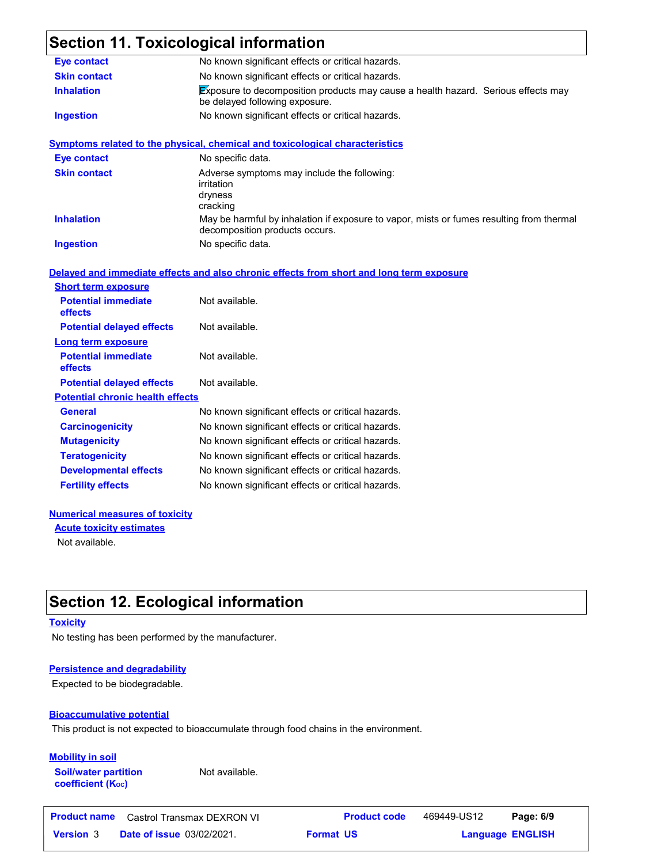## **Section 11. Toxicological information**

| <b>Eye contact</b>                                            | No known significant effects or critical hazards.                                                                          |
|---------------------------------------------------------------|----------------------------------------------------------------------------------------------------------------------------|
| <b>Skin contact</b>                                           | No known significant effects or critical hazards.                                                                          |
| <b>Inhalation</b>                                             | Exposure to decomposition products may cause a health hazard. Serious effects may<br>be delayed following exposure.        |
| <b>Ingestion</b>                                              | No known significant effects or critical hazards.                                                                          |
|                                                               | <b>Symptoms related to the physical, chemical and toxicological characteristics</b>                                        |
| <b>Eye contact</b>                                            | No specific data.                                                                                                          |
| <b>Skin contact</b>                                           | Adverse symptoms may include the following:<br>irritation<br>dryness<br>cracking                                           |
| <b>Inhalation</b>                                             | May be harmful by inhalation if exposure to vapor, mists or fumes resulting from thermal<br>decomposition products occurs. |
|                                                               |                                                                                                                            |
| <b>Ingestion</b>                                              | No specific data.<br>Delayed and immediate effects and also chronic effects from short and long term exposure              |
| <b>Short term exposure</b><br><b>Potential immediate</b>      | Not available.                                                                                                             |
| effects                                                       |                                                                                                                            |
| <b>Potential delayed effects</b><br><b>Long term exposure</b> | Not available.                                                                                                             |
| <b>Potential immediate</b><br>effects                         | Not available.                                                                                                             |
| <b>Potential delayed effects</b>                              | Not available.                                                                                                             |
| <b>Potential chronic health effects</b>                       |                                                                                                                            |
| General                                                       | No known significant effects or critical hazards.                                                                          |
| <b>Carcinogenicity</b>                                        | No known significant effects or critical hazards.                                                                          |
| <b>Mutagenicity</b>                                           | No known significant effects or critical hazards.                                                                          |
| <b>Teratogenicity</b>                                         | No known significant effects or critical hazards.                                                                          |
| <b>Developmental effects</b>                                  | No known significant effects or critical hazards.                                                                          |

#### **Numerical measures of toxicity**

**Acute toxicity estimates**

Not available.

## **Section 12. Ecological information**

#### **Toxicity**

No testing has been performed by the manufacturer.

#### **Persistence and degradability**

Expected to be biodegradable.

#### **Bioaccumulative potential**

This product is not expected to bioaccumulate through food chains in the environment.

#### **Mobility in soil**

**Soil/water partition coefficient (KOC)**

Not available.

| Product name     | Castrol Transmax DEXRON VI       | <b>Product code</b> | 469449-US12 | Page: 6/9               |  |
|------------------|----------------------------------|---------------------|-------------|-------------------------|--|
| <b>Version 3</b> | <b>Date of issue 03/02/2021.</b> | <b>Format US</b>    |             | <b>Language ENGLISH</b> |  |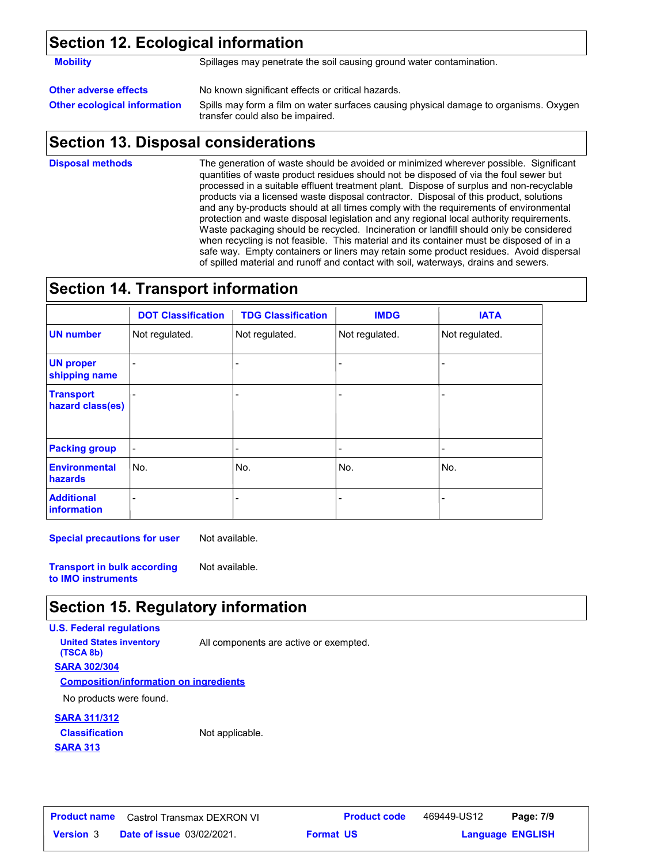### **Section 12. Ecological information**

**Mobility** Spillages may penetrate the soil causing ground water contamination.

**Other adverse effects** No known significant effects or critical hazards.

**Other ecological information** Spills may form a film on water surfaces causing physical damage to organisms. Oxygen transfer could also be impaired.

### **Section 13. Disposal considerations**

The generation of waste should be avoided or minimized wherever possible. Significant quantities of waste product residues should not be disposed of via the foul sewer but processed in a suitable effluent treatment plant. Dispose of surplus and non-recyclable products via a licensed waste disposal contractor. Disposal of this product, solutions and any by-products should at all times comply with the requirements of environmental protection and waste disposal legislation and any regional local authority requirements. Waste packaging should be recycled. Incineration or landfill should only be considered when recycling is not feasible. This material and its container must be disposed of in a safe way. Empty containers or liners may retain some product residues. Avoid dispersal of spilled material and runoff and contact with soil, waterways, drains and sewers. **Disposal methods**

### **Section 14. Transport information**

|                                         | <b>DOT Classification</b> | <b>TDG Classification</b> | <b>IMDG</b>              | <b>IATA</b>    |
|-----------------------------------------|---------------------------|---------------------------|--------------------------|----------------|
| <b>UN number</b>                        | Not regulated.            | Not regulated.            | Not regulated.           | Not regulated. |
| <b>UN proper</b><br>shipping name       |                           |                           | -                        |                |
| <b>Transport</b><br>hazard class(es)    |                           |                           | $\overline{\phantom{0}}$ |                |
| <b>Packing group</b>                    | -                         | -                         | -                        |                |
| <b>Environmental</b><br>hazards         | No.                       | lNo.                      | No.                      | No.            |
| <b>Additional</b><br><b>information</b> |                           |                           |                          |                |

**Special precautions for user** Not available.

**Transport in bulk according to IMO instruments** Not available.

### **Section 15. Regulatory information**

**U.S. Federal regulations**

**SARA 302/304 United States inventory** All components are active or exempted. **(TSCA 8b)**

**Composition/information on ingredients**

No products were found.

#### **SARA 311/312**

**SARA 313 Classification** Not applicable.

**Date of issue** 03/02/2021. **Version** 3 **Format Language Product name** Castrol Transmax DEXRON VI **Product code** 469449-US12 **Page: 7/9 Format US** 

**Language ENGLISH** 469449-US12 Page: 7/9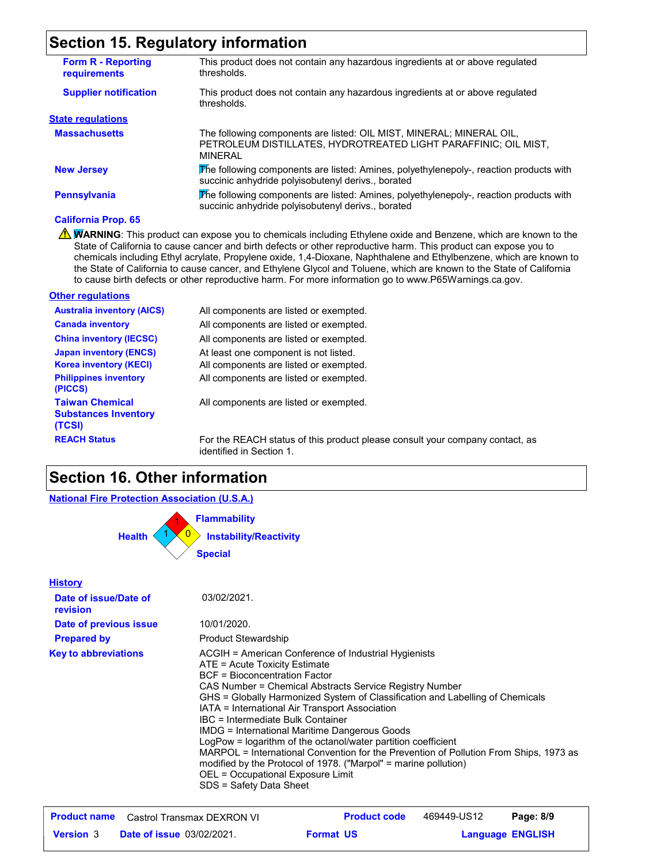### **Section 15. Regulatory information**

| <b>Form R - Reporting</b><br><b>requirements</b> | This product does not contain any hazardous ingredients at or above regulated<br>thresholds.                                                              |
|--------------------------------------------------|-----------------------------------------------------------------------------------------------------------------------------------------------------------|
| <b>Supplier notification</b>                     | This product does not contain any hazardous ingredients at or above regulated<br>thresholds.                                                              |
| <b>State regulations</b>                         |                                                                                                                                                           |
| <b>Massachusetts</b>                             | The following components are listed: OIL MIST, MINERAL; MINERAL OIL,<br>PETROLEUM DISTILLATES, HYDROTREATED LIGHT PARAFFINIC; OIL MIST,<br><b>MINFRAI</b> |
| <b>New Jersey</b>                                | The following components are listed: Amines, polyethylenepoly-, reaction products with<br>succinic anhydride polyisobutenyl derivs., borated              |
| <b>Pennsylvania</b>                              | The following components are listed: Amines, polyethylenepoly-, reaction products with<br>succinic anhydride polyisobutenyl derivs., borated              |

#### **California Prop. 65**

WARNING: This product can expose you to chemicals including Ethylene oxide and Benzene, which are known to the State of California to cause cancer and birth defects or other reproductive harm. This product can expose you to chemicals including Ethyl acrylate, Propylene oxide, 1,4-Dioxane, Naphthalene and Ethylbenzene, which are known to the State of California to cause cancer, and Ethylene Glycol and Toluene, which are known to the State of California to cause birth defects or other reproductive harm. For more information go to www.P65Warnings.ca.gov.

#### **Other regulations**

| <b>Australia inventory (AICS)</b>                                                              | All components are listed or exempted.                                                                                    |
|------------------------------------------------------------------------------------------------|---------------------------------------------------------------------------------------------------------------------------|
| <b>Canada inventory</b>                                                                        | All components are listed or exempted.                                                                                    |
| <b>China inventory (IECSC)</b>                                                                 | All components are listed or exempted.                                                                                    |
| <b>Japan inventory (ENCS)</b><br><b>Korea inventory (KECI)</b><br><b>Philippines inventory</b> | At least one component is not listed.<br>All components are listed or exempted.<br>All components are listed or exempted. |
| (PICCS)<br><b>Taiwan Chemical</b><br><b>Substances Inventory</b><br>(TCSI)                     | All components are listed or exempted.                                                                                    |
| <b>REACH Status</b>                                                                            | For the REACH status of this product please                                                                               |

ase consult your company contact, as identified in Section 1.

#### **Section 16. Other information**

## **National Fire Protection Association (U.S.A.)**

0 **Instability/Reactivity** 1 **Flammability** 1 0 1 **Health Special**

#### **History Date of issue/Date of revision Prepared by Date of previous issue Key to abbreviations** ACGIH = American Conference of Industrial Hygienists ATE = Acute Toxicity Estimate BCF = Bioconcentration Factor CAS Number = Chemical Abstracts Service Registry Number GHS = Globally Harmonized System of Classification and Labelling of Chemicals IATA = International Air Transport Association IBC = Intermediate Bulk Container IMDG = International Maritime Dangerous Goods LogPow = logarithm of the octanol/water partition coefficient MARPOL = International Convention for the Prevention of Pollution From Ships, 1973 as modified by the Protocol of 1978. ("Marpol" = marine pollution) OEL = Occupational Exposure Limit SDS = Safety Data Sheet 03/02/2021. 10/01/2020. Product Stewardship

|                  | <b>Product name</b> Castrol Transmax DEXRON VI | <b>Product code</b> | 469449-US12 | Page: 8/9               |  |
|------------------|------------------------------------------------|---------------------|-------------|-------------------------|--|
| <b>Version</b> 3 | <b>Date of issue 03/02/2021.</b>               | <b>Format US</b>    |             | <b>Language ENGLISH</b> |  |